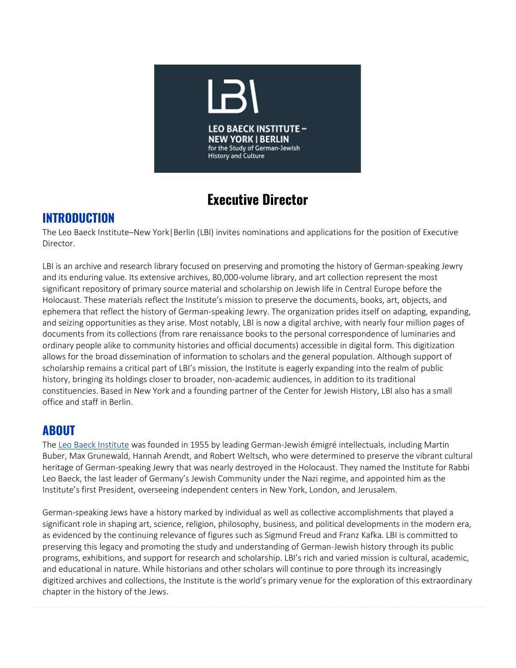

# **Executive Director**

### **INTRODUCTION**

The Leo Baeck Institute–New York|Berlin (LBI) invites nominations and applications for the position of Executive Director.

LBI is an archive and research library focused on preserving and promoting the history of German-speaking Jewry and its enduring value. Its extensive archives, 80,000-volume library, and art collection represent the most significant repository of primary source material and scholarship on Jewish life in Central Europe before the Holocaust. These materials reflect the Institute's mission to preserve the documents, books, art, objects, and ephemera that reflect the history of German-speaking Jewry. The organization prides itself on adapting, expanding, and seizing opportunities as they arise. Most notably, LBI is now a digital archive, with nearly four million pages of documents from its collections (from rare renaissance books to the personal correspondence of luminaries and ordinary people alike to community histories and official documents) accessible in digital form. This digitization allows for the broad dissemination of information to scholars and the general population. Although support of scholarship remains a critical part of LBI's mission, the Institute is eagerly expanding into the realm of public history, bringing its holdings closer to broader, non-academic audiences, in addition to its traditional constituencies. Based in New York and a founding partner of the Center for Jewish History, LBI also has a small office and staff in Berlin.

### **ABOUT**

The [Leo Baeck Institute](https://www.lbi.org/) was founded in 1955 by leading German-Jewish émigré intellectuals, including Martin Buber, Max Grunewald, Hannah Arendt, and Robert Weltsch, who were determined to preserve the vibrant cultural heritage of German-speaking Jewry that was nearly destroyed in the Holocaust. They named the Institute for Rabbi Leo Baeck, the last leader of Germany's Jewish Community under the Nazi regime, and appointed him as the Institute's first President, overseeing independent centers in New York, London, and Jerusalem.

German-speaking Jews have a history marked by individual as well as collective accomplishments that played a significant role in shaping art, science, religion, philosophy, business, and political developments in the modern era, as evidenced by the continuing relevance of figures such as Sigmund Freud and Franz Kafka. LBI is committed to preserving this legacy and promoting the study and understanding of German-Jewish history through its public programs, exhibitions, and support for research and scholarship. LBI's rich and varied mission is cultural, academic, and educational in nature. While historians and other scholars will continue to pore through its increasingly digitized archives and collections, the Institute is the world's primary venue for the exploration of this extraordinary chapter in the history of the Jews.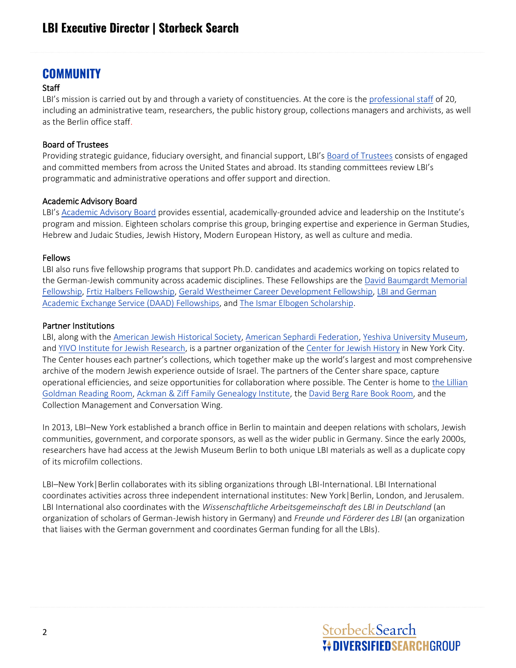### **COMMUNITY**

### **Staff**

LBI's mission is carried out by and through a variety of constituencies. At the core is the [professional staff](https://www.lbi.org/about/staff/) of 20, including an administrative team, researchers, the public history group, collections managers and archivists, as well as the Berlin office staff.

#### Board of Trustees

Providing strategic guidance, fiduciary oversight, and financial support, LBI's [Board of Trustees](https://www.lbi.org/about/board-of-trustees/) consists of engaged and committed members from across the United States and abroad. Its standing committees review LBI's programmatic and administrative operations and offer support and direction.

### Academic Advisory Board

LBI's [Academic Advisory Board](https://www.lbi.org/about/academic-advisory-board/) provides essential, academically-grounded advice and leadership on the Institute's program and mission. Eighteen scholars comprise this group, bringing expertise and experience in German Studies, Hebrew and Judaic Studies, Jewish History, Modern European History, as well as culture and media.

### Fellows

LBI also runs five fellowship programs that support Ph.D. candidates and academics working on topics related to the German-Jewish community across academic disciplines. These Fellowships are the [David Baumgardt Memorial](https://www.lbi.org/about/fellowships/david-baumgardt-memorial-fellowship/)  [Fellowship,](https://www.lbi.org/about/fellowships/david-baumgardt-memorial-fellowship/) [Frtiz Halbers Fellowship,](https://www.lbi.org/about/fellowships/fritz-halbers-fellowship/) [Gerald Westheimer Career Development Fellowship,](https://www.lbi.org/about/fellowships/westheimer-fellowship/) [LBI and German](https://www.lbi.org/about/fellowships/lbi-daad-fellowships/)  [Academic Exchange Service \(DAAD\) Fellowships,](https://www.lbi.org/about/fellowships/lbi-daad-fellowships/) an[d The Ismar Elbogen Scholarship.](https://www.lbi.org/about/fellowships/ismar-elbogen-scholarship/)

### Partner Institutions

LBI, along with th[e American Jewish Historical Society,](https://ajhs.org/) [American Sephardi Federation,](https://americansephardi.org/) [Yeshiva University](https://www.yumuseum.org/) Museum, an[d YIVO Institute for Jewish Research,](https://www.yivo.org/) is a partner organization of the [Center for Jewish History](https://new.cjh.org/) in New York City. The Center houses each partner's collections, which together make up the world's largest and most comprehensive archive of the modern Jewish experience outside of Israel. The partners of the Center share space, capture operational efficiencies, and seize opportunities for collaboration where possible. The Center is home t[o the Lillian](https://new.cjh.org/research/lillian-goldman-reading-room)  [Goldman Reading Room,](https://new.cjh.org/research/lillian-goldman-reading-room) [Ackman & Ziff Family Genealogy Institute,](https://genealogy.cjh.org/) th[e David Berg Rare Book Room,](https://www.cjh.org/rarebookroom/#:~:text=The%20David%20Berg%20Rare%20Book%20Room%20is%20a%20new%20state,for%20the%20Center%20partners) and the Collection Management and Conversation Wing.

In 2013, LBI–New York established a branch office in Berlin to maintain and deepen relations with scholars, Jewish communities, government, and corporate sponsors, as well as the wider public in Germany. Since the early 2000s, researchers have had access at the Jewish Museum Berlin to both unique LBI materials as well as a duplicate copy of its microfilm collections.

LBI–New York|Berlin collaborates with its sibling organizations through LBI-International. LBI International coordinates activities across three independent international institutes: New York|Berlin, London, and Jerusalem. LBI International also coordinates with the *Wissenschaftliche Arbeitsgemeinschaft des LBI in Deutschland* (an organization of scholars of German-Jewish history in Germany) and *Freunde und Förderer des LBI* (an organization that liaises with the German government and coordinates German funding for all the LBIs).

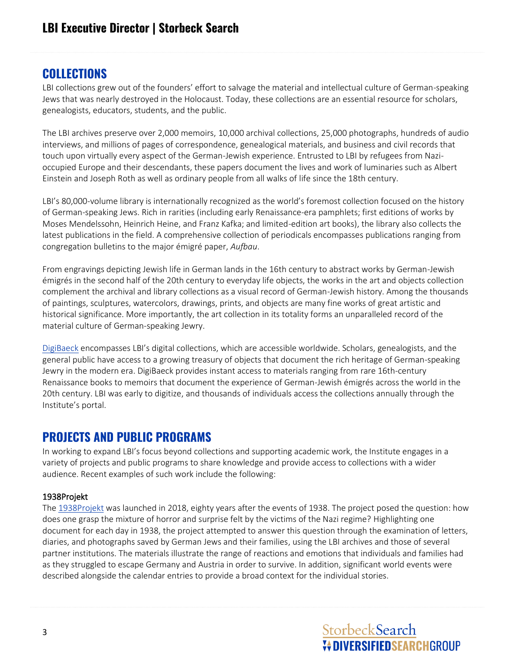### **COLLECTIONS**

LBI collections grew out of the founders' effort to salvage the material and intellectual culture of German-speaking Jews that was nearly destroyed in the Holocaust. Today, these collections are an essential resource for scholars, genealogists, educators, students, and the public.

The LBI archives preserve over 2,000 memoirs, 10,000 archival collections, 25,000 photographs, hundreds of audio interviews, and millions of pages of correspondence, genealogical materials, and business and civil records that touch upon virtually every aspect of the German-Jewish experience. Entrusted to LBI by refugees from Nazioccupied Europe and their descendants, these papers document the lives and work of luminaries such as Albert Einstein and Joseph Roth as well as ordinary people from all walks of life since the 18th century.

LBI's 80,000-volume library is internationally recognized as the world's foremost collection focused on the history of German-speaking Jews. Rich in rarities (including early Renaissance-era pamphlets; first editions of works by Moses Mendelssohn, Heinrich Heine, and Franz Kafka; and limited-edition art books), the library also collects the latest publications in the field. A comprehensive collection of periodicals encompasses publications ranging from congregation bulletins to the major émigré paper, *Aufbau*.

From engravings depicting Jewish life in German lands in the 16th century to abstract works by German-Jewish émigrés in the second half of the 20th century to everyday life objects, the works in the art and objects collection complement the archival and library collections as a visual record of German-Jewish history. Among the thousands of paintings, sculptures, watercolors, drawings, prints, and objects are many fine works of great artistic and historical significance. More importantly, the art collection in its totality forms an unparalleled record of the material culture of German-speaking Jewry.

[DigiBaeck](https://www.lbi.org/collections/digibaeck/) encompasses LBI's digital collections, which are accessible worldwide. Scholars, genealogists, and the general public have access to a growing treasury of objects that document the rich heritage of German-speaking Jewry in the modern era. DigiBaeck provides instant access to materials ranging from rare 16th-century Renaissance books to memoirs that document the experience of German-Jewish émigrés across the world in the 20th century. LBI was early to digitize, and thousands of individuals access the collections annually through the Institute's portal.

### **PROJECTS AND PUBLIC PROGRAMS**

In working to expand LBI's focus beyond collections and supporting academic work, the Institute engages in a variety of projects and public programs to share knowledge and provide access to collections with a wider audience. Recent examples of such work include the following:

### 1938Projekt

The [1938Projekt](https://www.lbi.org/projects/1938projekt/) was launched in 2018, eighty years after the events of 1938. The project posed the question: how does one grasp the mixture of horror and surprise felt by the victims of the Nazi regime? Highlighting one document for each day in 1938, the project attempted to answer this question through the examination of letters, diaries, and photographs saved by German Jews and their families, using the LBI archives and those of several partner institutions. The materials illustrate the range of reactions and emotions that individuals and families had as they struggled to escape Germany and Austria in order to survive. In addition, significant world events were described alongside the calendar entries to provide a broad context for the individual stories.

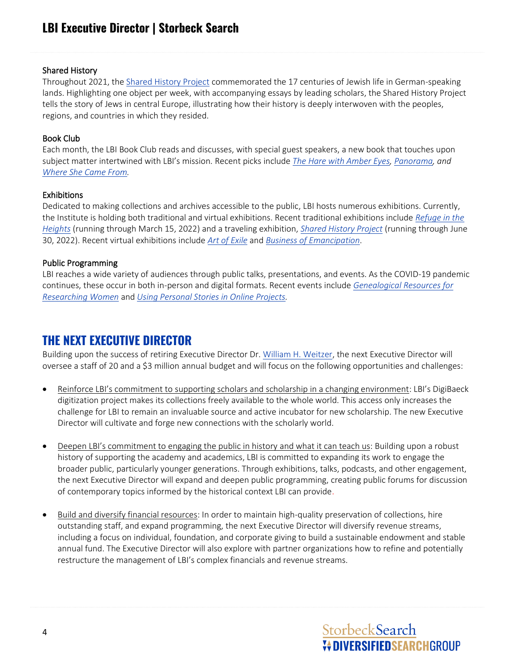#### Shared History

Throughout 2021, the [Shared History Project](https://www.lbi.org/projects/shared-history/) commemorated the 17 centuries of Jewish life in German-speaking lands. Highlighting one object per week, with accompanying essays by leading scholars, the Shared History Project tells the story of Jews in central Europe, illustrating how their history is deeply interwoven with the peoples, regions, and countries in which they resided.

### Book Club

Each month, the LBI Book Club reads and discusses, with special guest speakers, a new book that touches upon subject matter intertwined with LBI's mission. Recent picks include *[The Hare with Amber Eyes,](https://www.lbi.org/events/the-hare-with-amber-eyes/) [Panorama,](https://www.lbi.org/events/book-club-panorama/) and [Where She Came From.](https://www.lbi.org/events/book-club-where-she-came-from/)*

### Exhibitions

Dedicated to making collections and archives accessible to the public, LBI hosts numerous exhibitions. Currently, the Institute is holding both traditional and virtual exhibitions. Recent traditional exhibitions include *[Refuge in the](https://www.lbi.org/exhibitions/refuge-heights-german-jews-washington-heights/)  [Heights](https://www.lbi.org/exhibitions/refuge-heights-german-jews-washington-heights/)* (running through March 15, 2022) and a traveling exhibition, *[Shared History Project](https://www.lbi.org/exhibitions/shared-history-project-traveling-exhibition/)* (running through June 30, 2022). Recent virtual exhibitions include *[Art of Exile](https://www.lbi.org/exhibitions/art-exile/)* and *[Business of Emancipation](https://www.lbi.org/exhibitions/business-of-emancipation/)*.

### Public Programming

LBI reaches a wide variety of audiences through public talks, presentations, and events. As the COVID-19 pandemic continues, these occur in both in-person and digital formats. Recent events include *[Genealogical Resources for](https://www.lbi.org/events/genealogical-resources-researching-women/)  [Researching Women](https://www.lbi.org/events/genealogical-resources-researching-women/)* and *[Using Personal Stories in Online Projects.](https://www.lbi.org/events/using-personal-stories-in-online-projects/)*

### **THE NEXT EXECUTIVE DIRECTOR**

Building upon the success of retiring Executive Director Dr. [William H. Weitzer,](https://www.lbi.org/about/staff/william-weitzer/) the next Executive Director will oversee a staff of 20 and a \$3 million annual budget and will focus on the following opportunities and challenges:

- Reinforce LBI's commitment to supporting scholars and scholarship in a changing environment: LBI's DigiBaeck digitization project makes its collections freely available to the whole world. This access only increases the challenge for LBI to remain an invaluable source and active incubator for new scholarship. The new Executive Director will cultivate and forge new connections with the scholarly world.
- Deepen LBI's commitment to engaging the public in history and what it can teach us: Building upon a robust history of supporting the academy and academics, LBI is committed to expanding its work to engage the broader public, particularly younger generations. Through exhibitions, talks, podcasts, and other engagement, the next Executive Director will expand and deepen public programming, creating public forums for discussion of contemporary topics informed by the historical context LBI can provide.
- Build and diversify financial resources: In order to maintain high-quality preservation of collections, hire outstanding staff, and expand programming, the next Executive Director will diversify revenue streams, including a focus on individual, foundation, and corporate giving to build a sustainable endowment and stable annual fund. The Executive Director will also explore with partner organizations how to refine and potentially restructure the management of LBI's complex financials and revenue streams.